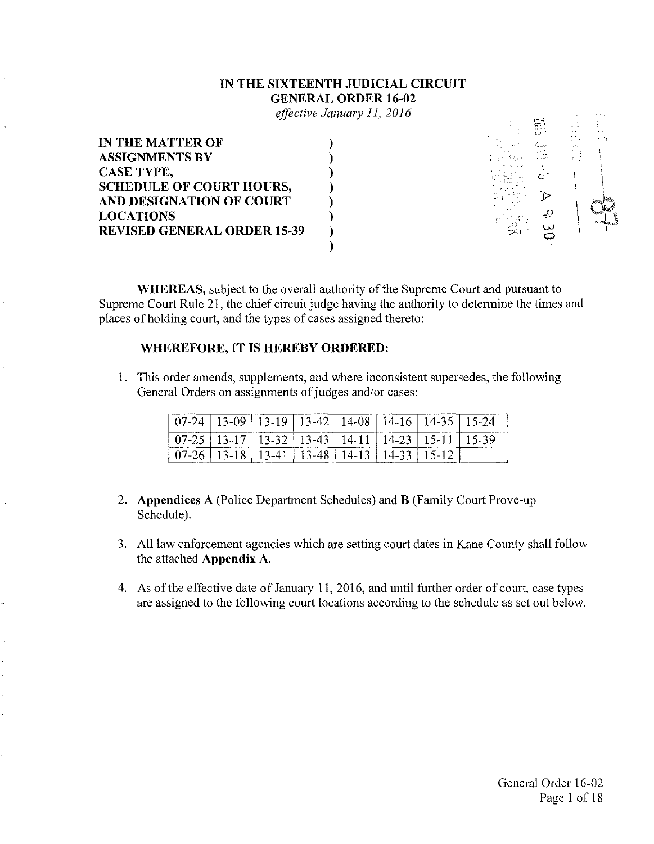### **IN THE SIXTEENTH JUDICIAL CIRCUIT GENERAL ORDER 16-02**

*effective January 11, 2016* 

|  | 4147.00 | and the |                 |
|--|---------|---------|-----------------|
|  |         |         | $\mu \sim 1000$ |
|  |         |         |                 |
|  |         |         |                 |
|  |         |         |                 |
|  |         |         |                 |
|  | -9      |         | <b>Bridding</b> |
|  |         |         |                 |
|  |         |         |                 |
|  |         |         |                 |

WHEREAS, subject to the overall authority of the Supreme Court and pursuant to Supreme Court Rule 21, the chief circuit judge having the authority to determine the times and places of holding court, and the types of cases assigned thereto;

#### **WHEREFORE, IT IS HEREBY ORDERED:**

1. This order amends, supplements, and where inconsistent supersedes, the following General Orders on assignments of judges and/or cases:

| ------------             |                          | -u<br>`∙                                 | --------------<br>$3-42$<br>т. | 8          |            |                 | 5.24       |
|--------------------------|--------------------------|------------------------------------------|--------------------------------|------------|------------|-----------------|------------|
| $\overline{\phantom{a}}$ | $\overline{\phantom{a}}$ | $3 - 32$                                 | $13 - 43$<br>-<br>------------ | $\Delta$ - | . <b>.</b> | ----------      | $1 - 39$   |
|                          | Ö<br>$-$                 | $-4^{\frac{1}{2}}$<br>------------------ | $\circ$<br>-4<br>u<br>السسسب   | Δ.         | --         | ۰.<br>_________ | ---------- |

- 2. **Appendices** A (Police Department Schedules) and **B** (Family Court Prove-up Schedule).
- 3. All law enforcement agencies which are setting court dates in Kane County shall follow the attached **Appendix A.**
- 4. As of the effective date of January l 1, 2016, and until further order of court, case types are assigned to the following court locations according to the schedule as set out below.

1999년 - 11월

na D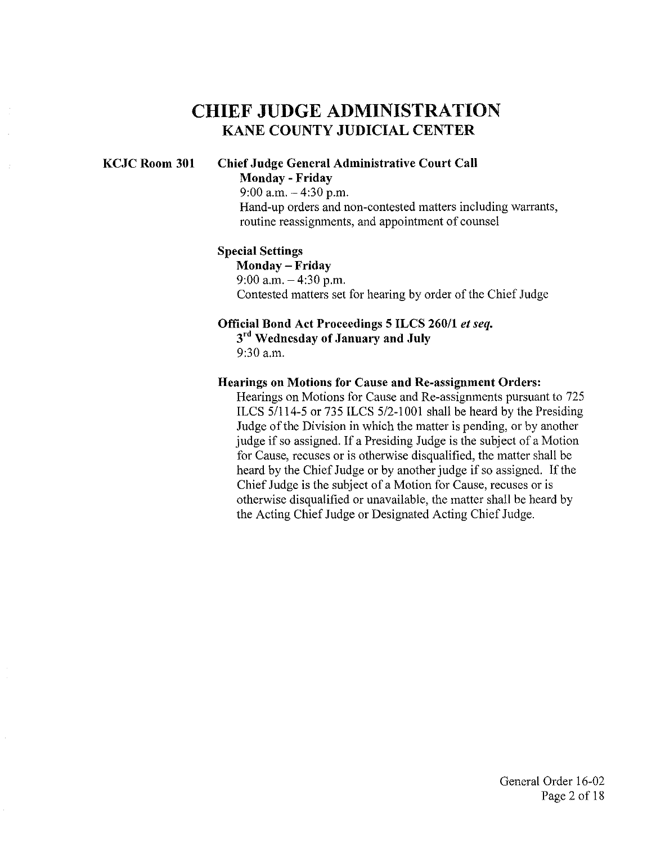# CHIEF JUDGE ADMINISTRATION KANE COUNTY JUDICIAL CENTER

### KCJC Room 301 Chief Judge General Administrative Court Call Monday - Friday 9:00 a.m.  $-4:30$  p.m.

Hand-up orders and non-contested matters including warrants, routine reassignments, and appointment of counsel

#### Special Settings

Monday - Friday 9:00 a.m.  $-4:30$  p.m. Contested matters set for hearing by order of the Chief Judge

### Official Bond Act Proceedings 5 ILCS 260/1 *et seq.*   $3<sup>rd</sup>$  Wednesday of January and July

9:30 a.m.

#### Hearings on Motions for Cause and Re-assignment Orders:

Hearings on Motions for Cause and Re-assignments pursuant to 725 ILCS 5/114-5 or 735 ILCS 5/2-1001 shall be heard by the Presiding Judge of the Division in which the matter is pending, or by another judge if so assigned. If a Presiding Judge is the subject of a Motion for Cause, recuses or is otherwise disqualified, the matter shall be heard by the Chief Judge or by another judge if so assigned. If the Chief Judge is the subject of a Motion for Cause, recuses or is otherwise disqualified or unavailable, the matter shall be heard by the Acting Chief Judge or Designated Acting Chief Judge.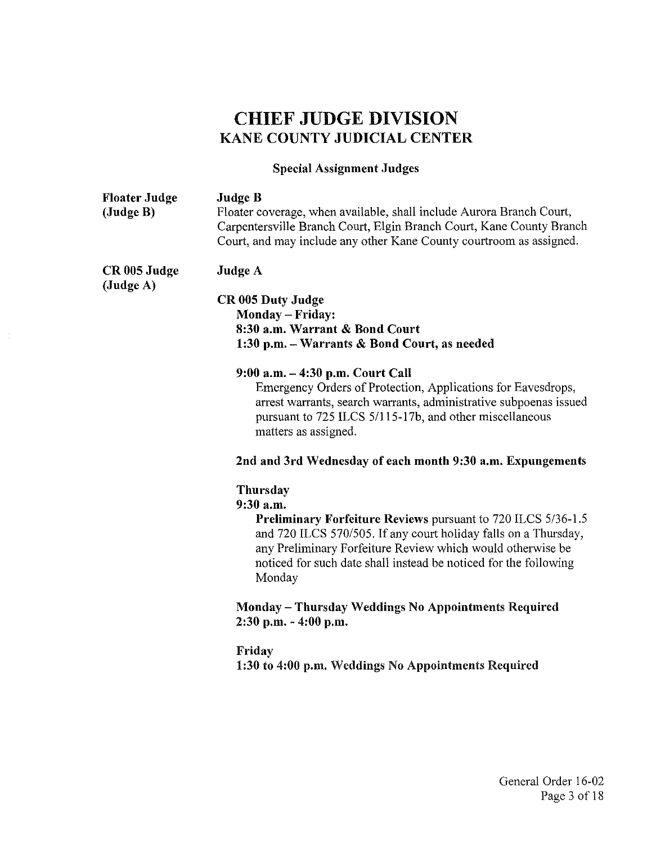# CHIEF JUDGE DIVISION KANE COUNTY JUDICIAL CENTER

# Special Assignment Judges

| <b>Floater Judge</b><br>(Judge B) | <b>Judge B</b><br>Floater coverage, when available, shall include Aurora Branch Court,<br>Carpentersville Branch Court, Elgin Branch Court, Kane County Branch<br>Court, and may include any other Kane County courtroom as assigned.                                                                       |
|-----------------------------------|-------------------------------------------------------------------------------------------------------------------------------------------------------------------------------------------------------------------------------------------------------------------------------------------------------------|
| CR 005 Judge                      | <b>Judge A</b>                                                                                                                                                                                                                                                                                              |
| (Judge A)                         | CR 005 Duty Judge<br>Monday - Friday:<br>8:30 a.m. Warrant & Bond Court<br>1:30 p.m. - Warrants & Bond Court, as needed                                                                                                                                                                                     |
|                                   | 9:00 a.m. - 4:30 p.m. Court Call<br>Emergency Orders of Protection, Applications for Eavesdrops,<br>arrest warrants, search warrants, administrative subpoenas issued<br>pursuant to 725 ILCS 5/115-17b, and other miscellaneous<br>matters as assigned.                                                    |
|                                   | 2nd and 3rd Wednesday of each month 9:30 a.m. Expungements                                                                                                                                                                                                                                                  |
|                                   | Thursday<br>9:30 a.m.<br><b>Preliminary Forfeiture Reviews pursuant to 720 ILCS 5/36-1.5</b><br>and 720 ILCS 570/505. If any court holiday falls on a Thursday,<br>any Preliminary Forfeiture Review which would otherwise be<br>noticed for such date shall instead be noticed for the following<br>Monday |
|                                   | Monday - Thursday Weddings No Appointments Required<br>$2:30$ p.m. $-4:00$ p.m.                                                                                                                                                                                                                             |
|                                   | Friday<br>1:30 to 4:00 p.m. Weddings No Appointments Required                                                                                                                                                                                                                                               |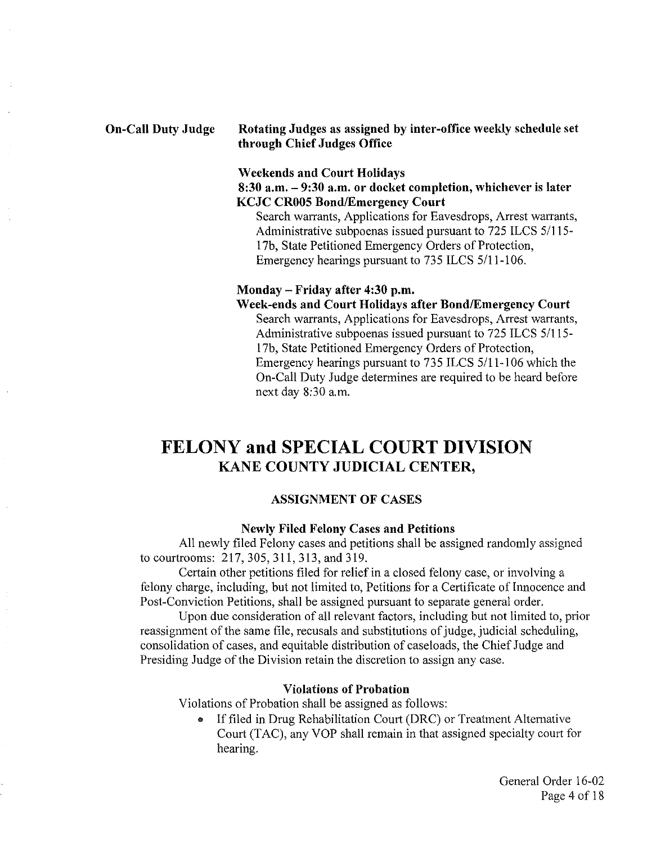#### **On-Call Duty Judge Rotating Judges as assigned by inter-office weekly schedule set through Chief Judges Office**

#### **Weekends and Court Holidays**

### **8:30 a.m. - 9:30 a.m. or docket completion, whichever is later KCJC CROOS Bond/Emergency Court**

Search warrants, Applications for Eavesdrops, Arrest warrants, Administrative subpoenas issued pursuant to 725 ILCS 5/115 l 7b, State Petitioned Emergency Orders of Protection, Emergency hearings pursuant to 735 ILCS 5/11-106.

#### **Monday - Friday after 4:30 p.m.**

#### **Week-ends and Court Holidays after Bond/Emergency Court**

Search warrants, Applications for Eavesdrops, Arrest warrants, Administrative subpoenas issued pursuant to 725 ILCS 5/115- 1 7b, State Petitioned Emergency Orders of Protection, Emergency hearings pursuant to 735 ILCS 5/11-106 which the On-Call Duty Judge determines are required to be heard before next day 8:30 a.m.

# **FELONY and SPECIAL COURT DIVISION KANE COUNTY JUDICIAL CENTER,**

### **ASSIGNMENT OF CASES**

#### **Newly Filed Felony Cases and Petitions**

All newly filed Felony cases and petitions shall be assigned randomly assigned to courtrooms: 217, 305, 311, 313, and 319.

Certain other petitions filed for relief in a closed felony case, or involving a felony charge, including, but not limited to, Petitions for a Certificate of Innocence and Post-Conviction Petitions, shall be assigned pursuant to separate general order.

Upon due consideration of all relevant factors, including but not limited to, prior reassignment of the same file, recusals and substitutions of judge, judicial scheduling, consolidation of cases, and equitable distribution of caseloads, the Chief Judge and Presiding Judge of the Division retain the discretion to assign any case.

#### **Violations of Probation**

Violations of Probation shall be assigned as follows:

• If filed in Drug Rehabilitation Court (DRC) or Treatment Alternative Court (TAC), any VOP shall remain in that assigned specialty court for hearing.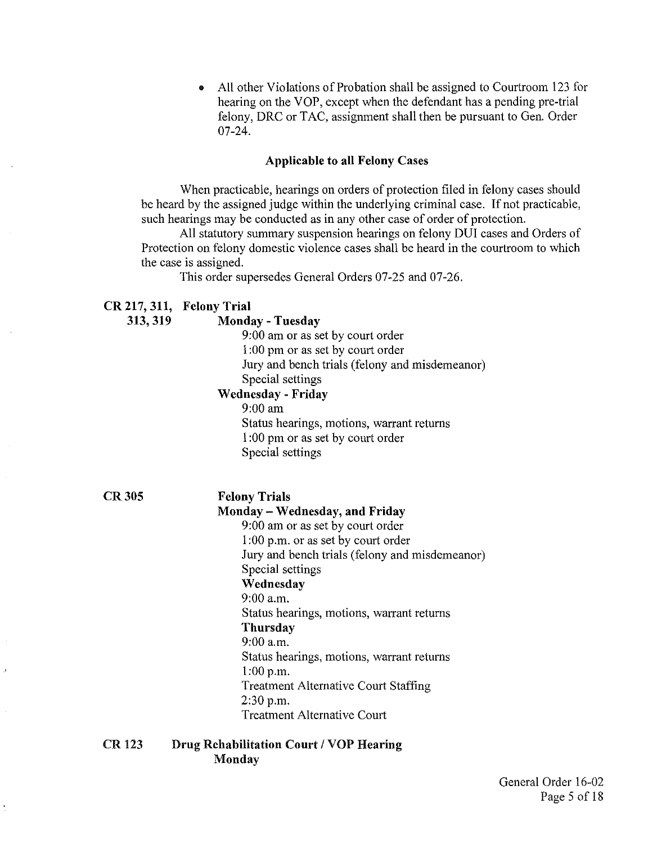• All other Violations of Probation shall be assigned to Courtroom 123 for hearing on the VOP, except when the defendant has a pending pre-trial felony, DRC or TAC, assignment shall then be pursuant to Gen. Order 07-24.

### Applicable to all Felony Cases

When practicable, hearings on orders of protection filed in felony cases should be heard by the assigned judge within the underlying criminal case. If not practicable, such hearings may be conducted as in any other case of order of protection.

All statutory summary suspension hearings on felony DUI cases and Orders of Protection on felony domestic violence cases shall be heard in the courtroom to which the case is assigned.

This order supersedes General Orders 07-25 and 07-26.

### CR217,311, Felony Trial

| 313, 319      | <b>Monday - Tuesday</b>                        |
|---------------|------------------------------------------------|
|               | 9:00 am or as set by court order               |
|               | 1:00 pm or as set by court order               |
|               | Jury and bench trials (felony and misdemeanor) |
|               | Special settings                               |
|               | <b>Wednesday - Friday</b>                      |
|               | $9:00$ am                                      |
|               | Status hearings, motions, warrant returns      |
|               | 1:00 pm or as set by court order               |
|               | Special settings                               |
| <b>CR 305</b> |                                                |
|               | <b>Felony Trials</b>                           |
|               | Monday – Wednesday, and Friday                 |
|               | 9:00 am or as set by court order               |
|               | 1:00 p.m. or as set by court order             |
|               | Jury and bench trials (felony and misdemeanor) |
|               | Special settings                               |
|               | Wednesday                                      |
|               | $9:00$ a.m.                                    |
|               | Status hearings, motions, warrant returns      |
|               | Thursday                                       |
|               | $9:00$ a.m.                                    |
|               | Status hearings, motions, warrant returns      |
|               | 1:00 p.m.                                      |
|               | <b>Treatment Alternative Court Staffing</b>    |
|               | 2:30 p.m.                                      |

Treatment Alternative Court

#### CR123 Drug Rehabilitation Court *I* VOP Hearing Monday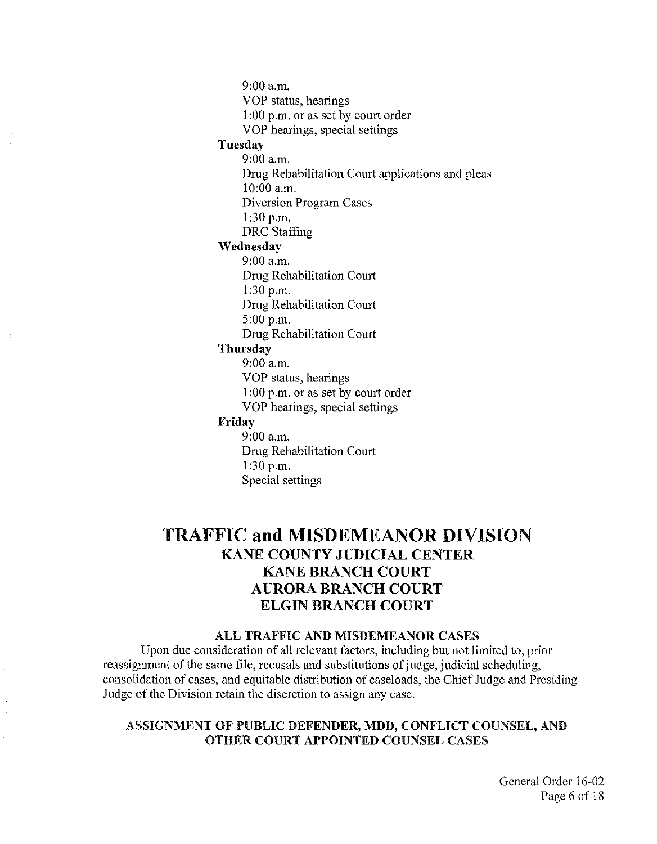9:00a.m.

VOP status, hearings

1 :00 p.m. or as set by court order

VOP hearings, special settings

### **Tuesday**

9:00 a.m. Drug Rehabilitation Court applications and pleas 10:00 a.m.

Diversion Program Cases

1:30 p.m.

DRC Staffing

### **Wednesday**

9:00 a.m. Drug Rehabilitation Court 1:30 p.m. Drug Rehabilitation Court 5:00 p.m. Drug Rehabilitation Court

### **Thursday**

9:00a.m.

VOP status, hearings

1:00 p.m. or as set by court order

VOP hearings, special settings

### **Friday**

9:00 a.m. Drug Rehabilitation Court 1:30 p.m. Special settings

# **TRAFFIC and MISDEMEANOR DIVISION KANE COUNTY JUDICIAL CENTER KANE BRANCH COURT AURORA BRANCH COURT**  ELGIN BRANCH COURT

### ALL TRAFFIC AND MISDEMEANOR CASES

Upon due consideration of all relevant factors, including but not limited to, prior reassignment of the same file, recusals and substitutions of judge, judicial scheduling, consolidation of cases, and equitable distribution of caseloads, the Chief Judge and Presiding Judge of the Division retain the discretion to assign any case.

### ASSIGNMENT OF PUBLIC DEFENDER, MDD, CONFLICT COUNSEL, AND OTHER COURT APPOINTED COUNSEL CASES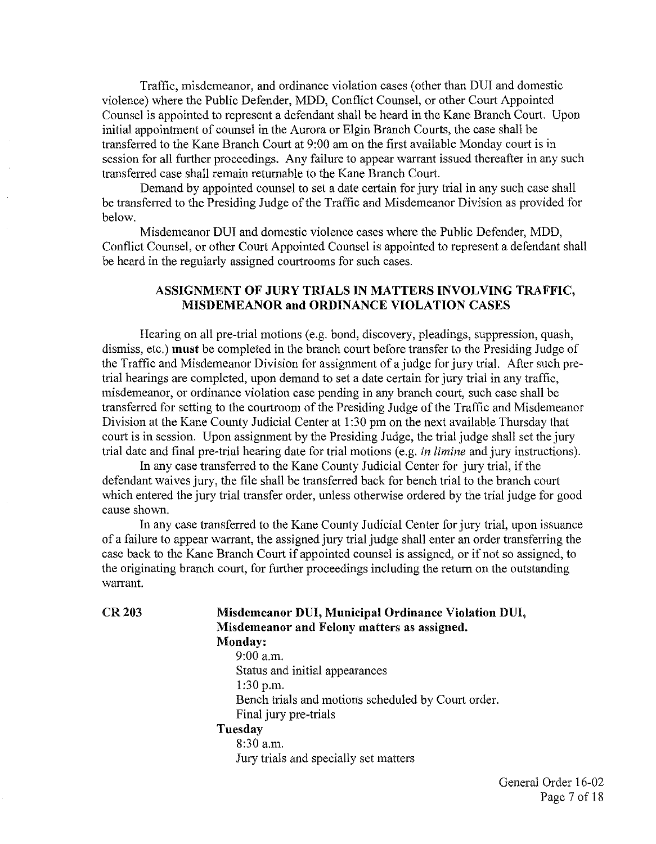Traffic, misdemeanor, and ordinance violation cases (other than DUI and domestic violence) where the Public Defender, MDD, Conflict Counsel, or other Court Appointed Counsel is appointed to represent a defendant shall be heard in the Kane Branch Court. Upon initial appointment of counsel in the Aurora or Elgin Branch Courts, the case shall be transferred to the Kane Branch Court at 9:00 am on the first available Monday court is in session for all further proceedings. Any failure to appear warrant issued thereafter in any such transferred case shall remain returnable to the Kane Branch Court.

Demand by appointed counsel to set a date certain for jury trial in any such case shall be transferred to the Presiding Judge of the Traffic and Misdemeanor Division as provided for below.

Misdemeanor DUI and domestic violence cases where the Public Defender, MDD, Conflict Counsel, or other Court Appointed Counsel is appointed to represent a defendant shall be heard in the regularly assigned courtrooms for such cases.

### ASSIGNMENT OF JURY TRIALS IN MATTERS INVOLVING TRAFFIC, MISDEMEANOR and ORDINANCE VIOLATION CASES

Hearing on all pre-trial motions (e.g. bond, discovery, pleadings, suppression, quash, dismiss, etc.) must be completed in the branch court before transfer to the Presiding Judge of the Traffic and Misdemeanor Division for assignment of a judge for jury trial. After such pretrial hearings are completed, upon demand to set a date certain for jury trial in any traffic, misdemeanor, or ordinance violation case pending in any branch court, such case shall be transferred for setting to the courtroom of the Presiding Judge of the Traffic and Misdemeanor Division at the Kane County Judicial Center at 1 :30 pm on the next available Thursday that court is in session. Upon assignment by the Presiding Judge, the trial judge shall set the jury trial date and final pre-trial hearing date for trial motions (e.g. *in limine* and jury instructions).

In any case transferred to the Kane County Judicial Center for jury trial, if the defendant waives jury, the file shall be transferred back for bench trial to the branch court which entered the jury trial transfer order, unless otherwise ordered by the trial judge for good cause shown.

In any case transferred to the Kane County Judicial Center for jury trial, upon issuance of a failure to appear warrant, the assigned jury trial judge shall enter an order transferring the case back to the Kane Branch Court if appointed counsel is assigned, or if not so assigned, to the originating branch court, for further proceedings including the return on the outstanding warrant.

#### CR203 Misdemeanor DUI, Municipal Ordinance Violation DUI, Misdemeanor and Felony matters as assigned. Monday:

9:00 a.m. Status and initial appearances  $1:30$  p.m. Bench trials and motions scheduled by Court order. Final jury pre-trials Tuesday 8:30 a.m. Jury trials and specially set matters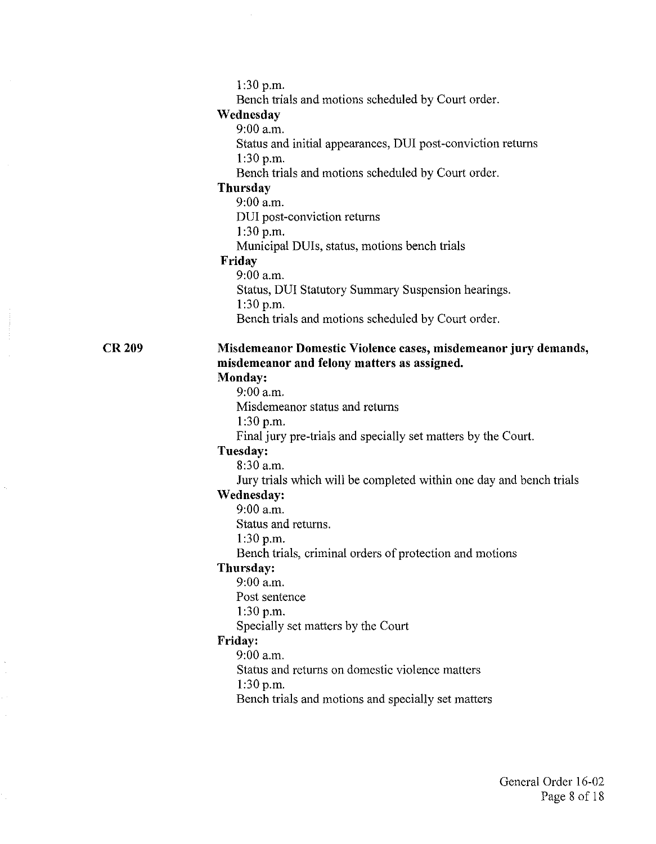1:30 p.m.

Bench trials and motions scheduled by Court order.

#### **Wednesday**

9:00 a.m.

Status and initial appearances, DUI post-conviction returns 1:30 p.m.

Bench trials and motions scheduled by Court order.

### **Thursday**

9:00 a.m. DUI post-conviction returns

1:30 p.m.

Municipal DUis, status, motions bench trials

### **Friday**

9:00 a.m. Status, DUI Statutory Summary Suspension hearings. 1:30 p.m. Bench trials and motions scheduled by Court order.

### **Misdemeanor Domestic Violence cases, misdemeanor jury demands, misdemeanor and felony matters as assigned.**

### **Monday:**

**CR209** 

9:00 a.m.

Misdemeanor status and returns

1:30 p.m.

Final jury pre-trials and specially set matters by the Court.

### **Tuesday:**

8:30 a.m.

Jury trials which will be completed within one day and bench trials

### **Wednesday:**

9:00 a.m.

Status and returns.

1:30 p.m.

Bench trials, criminal orders of protection and motions

### **Thursday:**

9:00 a.m.

Post sentence

1:30 p.m.

Specially set matters by the Court

### **Friday:**

9:00 a.m.

Status and returns on domestic violence matters

 $1:30 p.m.$ 

Bench trials and motions and specially set matters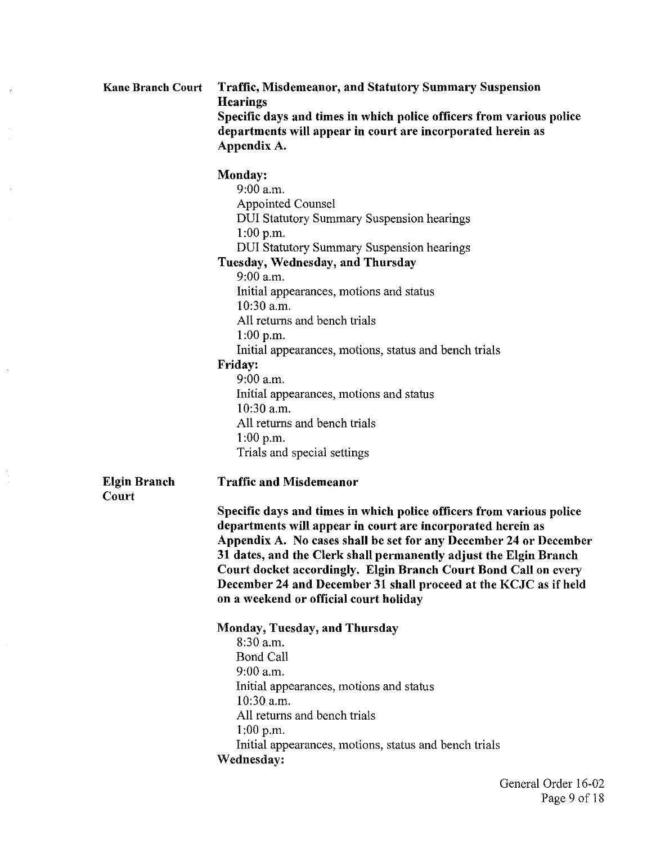| <b>Kane Branch Court</b>     | <b>Traffic, Misdemeanor, and Statutory Summary Suspension</b><br><b>Hearings</b><br>Specific days and times in which police officers from various police<br>departments will appear in court are incorporated herein as<br>Appendix A.                                                                                                                                                                                                                                                                                                              |
|------------------------------|-----------------------------------------------------------------------------------------------------------------------------------------------------------------------------------------------------------------------------------------------------------------------------------------------------------------------------------------------------------------------------------------------------------------------------------------------------------------------------------------------------------------------------------------------------|
|                              | Monday:<br>9.00 a.m.<br>Appointed Counsel<br><b>DUI Statutory Summary Suspension hearings</b><br>1:00 p.m.<br><b>DUI Statutory Summary Suspension hearings</b><br>Tuesday, Wednesday, and Thursday<br>$9:00$ a.m.<br>Initial appearances, motions and status<br>10:30 a.m.<br>All returns and bench trials<br>$1:00$ p.m.<br>Initial appearances, motions, status and bench trials<br>Friday:<br>$9:00$ a.m.<br>Initial appearances, motions and status<br>10:30 a.m.<br>All returns and bench trials<br>$1:00$ p.m.<br>Trials and special settings |
| <b>Elgin Branch</b><br>Court | <b>Traffic and Misdemeanor</b><br>Specific days and times in which police officers from various police<br>departments will appear in court are incorporated herein as<br>Appendix A. No cases shall be set for any December 24 or December<br>31 dates, and the Clerk shall permanently adjust the Elgin Branch<br>Court docket accordingly. Elgin Branch Court Bond Call on every<br>December 24 and December 31 shall proceed at the KCJC as if held<br>on a weekend or official court holiday                                                    |
|                              | Monday, Tuesday, and Thursday<br>$8:30$ a.m.<br><b>Bond Call</b><br>9:00 a.m.<br>Initial appearances, motions and status<br>10:30 a.m.<br>All returns and bench trials<br>$1:00$ p.m.<br>Initial appearances, motions, status and bench trials<br>Wednesday:                                                                                                                                                                                                                                                                                        |

 $\overline{\phantom{a}}$ 

 $\hat{\boldsymbol{\gamma}}$ 

 $\frac{1}{2}$ 

 $\ddot{\phantom{a}}$ 

í,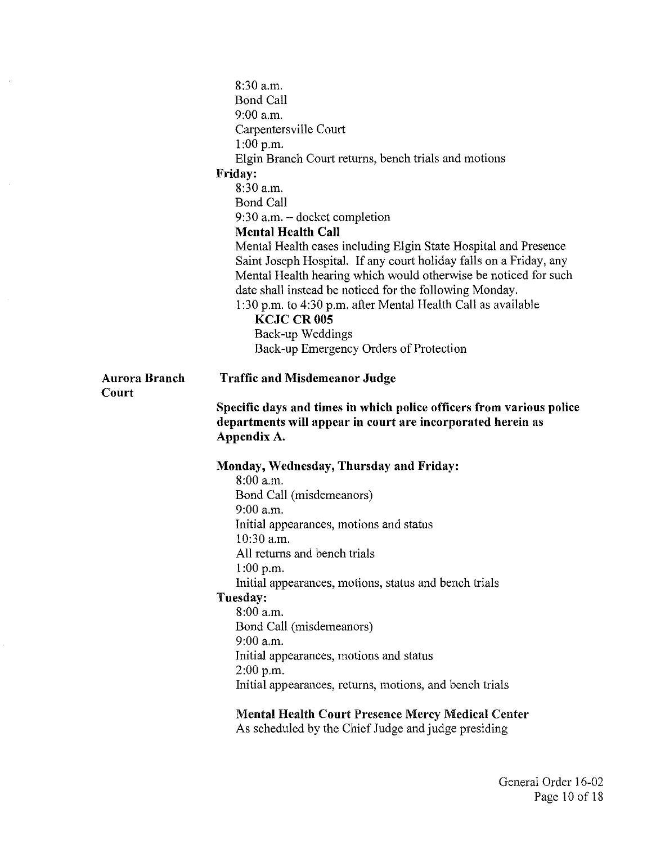|               | $8:30$ a.m.                                                          |
|---------------|----------------------------------------------------------------------|
|               | <b>Bond Call</b>                                                     |
|               | $9:00$ a.m.                                                          |
|               | Carpentersville Court                                                |
|               | $1:00$ p.m.                                                          |
|               | Elgin Branch Court returns, bench trials and motions                 |
|               | <b>Friday:</b>                                                       |
|               | 8:30 a.m.                                                            |
|               | <b>Bond Call</b>                                                     |
|               | $9:30$ a.m. $-$ docket completion                                    |
|               | <b>Mental Health Call</b>                                            |
|               | Mental Health cases including Elgin State Hospital and Presence      |
|               | Saint Joseph Hospital. If any court holiday falls on a Friday, any   |
|               | Mental Health hearing which would otherwise be noticed for such      |
|               | date shall instead be noticed for the following Monday.              |
|               | 1:30 p.m. to 4:30 p.m. after Mental Health Call as available         |
|               | <b>KCJC CR 005</b>                                                   |
|               | Back-up Weddings                                                     |
|               | Back-up Emergency Orders of Protection                               |
|               |                                                                      |
| Aurora Branch | <b>Traffic and Misdemeanor Judge</b>                                 |
| Court         |                                                                      |
|               |                                                                      |
|               | Specific days and times in which police officers from various police |
|               | departments will appear in court are incorporated herein as          |
|               | Appendix A.                                                          |
|               |                                                                      |
|               | Monday, Wednesday, Thursday and Friday:                              |
|               | $8:00$ a.m.                                                          |
|               | Bond Call (misdemeanors)                                             |
|               | $9:00$ a.m.                                                          |
|               | Initial appearances, motions and status<br>10:30 a.m.                |
|               |                                                                      |
|               | All returns and bench trials                                         |
|               | $1:00$ p.m.                                                          |
|               | Initial appearances, motions, status and bench trials                |
|               | Tuesday:<br>8:00 a.m.                                                |
|               | Bond Call (misdemeanors)                                             |
|               | $9:00$ a.m.                                                          |
|               | Initial appearances, motions and status                              |
|               | 2.00 p.m.                                                            |
|               | Initial appearances, returns, motions, and bench trials              |
|               | <b>Mental Health Court Presence Mercy Medical Center</b>             |

 $\hat{\boldsymbol{\beta}}$ 

As scheduled by the Chief Judge and judge presiding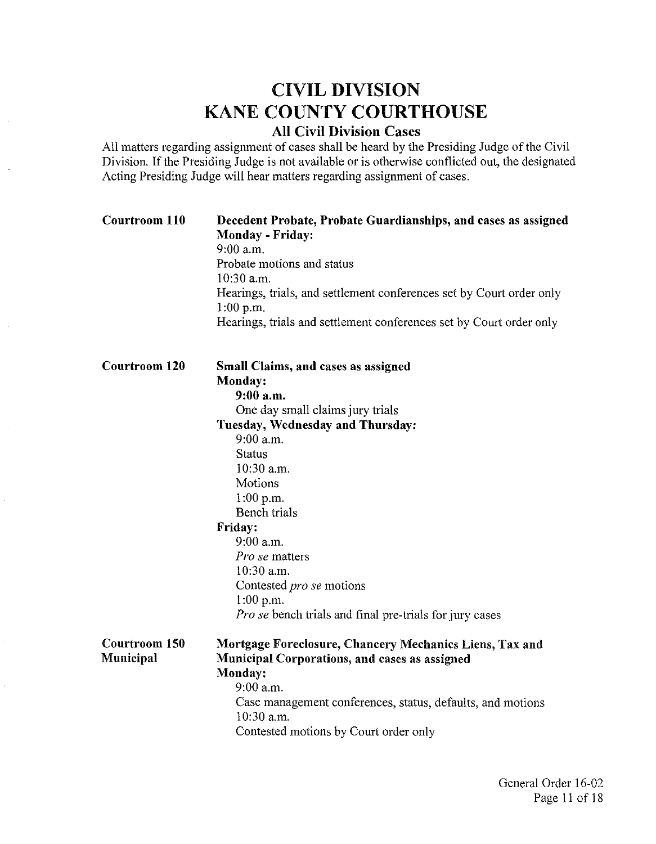# CIVIL DIVISION KANE COUNTY COURTHOUSE

## All Civil Division Cases

All matters regarding assignment of cases shall be heard by the Presiding Judge of the Civil Division. If the Presiding Judge is not available or is otherwise conflicted out, the designated Acting Presiding Judge will hear matters regarding assignment of cases.

 $\ddot{\phantom{0}}$ 

| <b>Courtroom 110</b>       | Decedent Probate, Probate Guardianships, and cases as assigned<br><b>Monday - Friday:</b><br>$9:00$ a.m.<br>Probate motions and status<br>$10:30$ a.m.<br>Hearings, trials, and settlement conferences set by Court order only<br>$1:00$ p.m.<br>Hearings, trials and settlement conferences set by Court order only                                                                                        |
|----------------------------|-------------------------------------------------------------------------------------------------------------------------------------------------------------------------------------------------------------------------------------------------------------------------------------------------------------------------------------------------------------------------------------------------------------|
| Courtroom 120              | Small Claims, and cases as assigned<br>Monday:<br>$9:00$ a.m.<br>One day small claims jury trials<br>Tuesday, Wednesday and Thursday:<br>$9:00$ a.m.<br><b>Status</b><br>10:30 a.m.<br>Motions<br>$1:00$ p.m.<br><b>Bench</b> trials<br>Friday:<br>$9:00$ a.m.<br>Pro se matters<br>10:30 a.m.<br>Contested pro se motions<br>$1:00$ p.m.<br><i>Pro se</i> bench trials and final pre-trials for jury cases |
| Courtroom 150<br>Municipal | Mortgage Foreclosure, Chancery Mechanics Liens, Tax and<br><b>Municipal Corporations, and cases as assigned</b><br>Monday:<br>$9:00$ a.m.<br>Case management conferences, status, defaults, and motions<br>10:30 a.m.<br>Contested motions by Court order only                                                                                                                                              |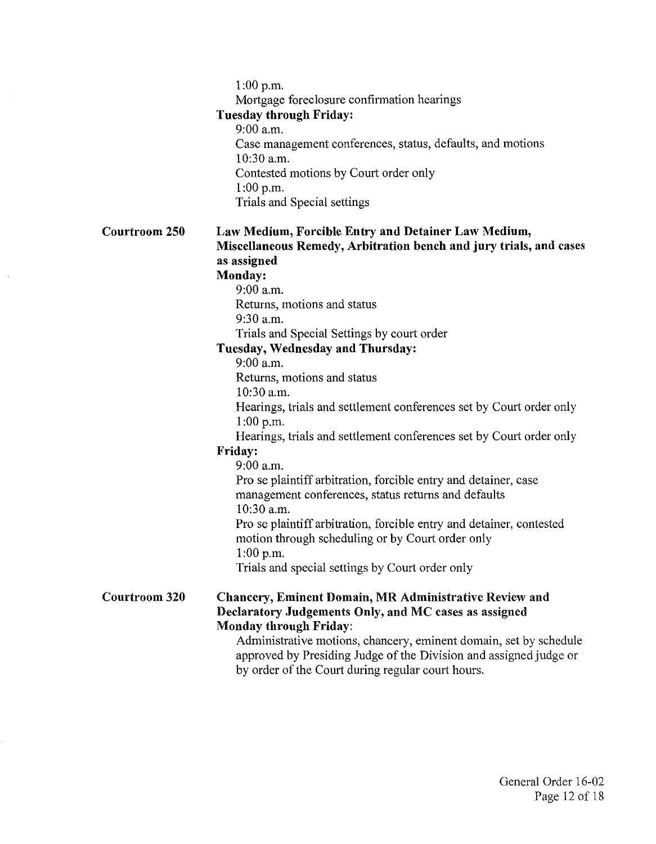1:00 p.m.

Mortgage foreclosure confirmation hearings

### Tuesday through Friday:

9:00 a.m. Case management conferences, status, defaults, and motions 10:30 a.m. Contested motions by Court order only 1:00 p.m. Trials and Special settings

#### Courtroom 250 Law Medium, Forcible Entry and Detainer Law Medium, Miscellaneous Remedy, Arbitration bench and jury trials, and cases as assigned

### Monday:

9:00 a.m. Returns, motions and status

9:30 a.m.

Trials and Special Settings by court order

### Tuesday, Wednesday and Thursday:

9:00 a.m.

Returns, motions and status

10:30 a.m.

Hearings, trials and settlement conferences set by Court order only 1:00 p.m.

Hearings, trials and settlement conferences set by Court order only

### Friday:

9:00 a.m.

Pro se plaintiff arbitration, forcible entry and detainer, case management conferences, status returns and defaults 10:30 a.m.

Pro se plaintiff arbitration, forcible entry and detainer, contested motion through scheduling or by Court order only 1:00 p.m.

Trials and special settings by Court order only

#### Courtroom 320 Chancery, Eminent Domain, MR Administrative Review and Declaratory Judgements Only, and MC cases as assigned Monday through Friday:

Administrative motions, chancery, eminent domain, set by schedule approved by Presiding Judge of the Division and assigned judge or by order of the Court during regular court hours.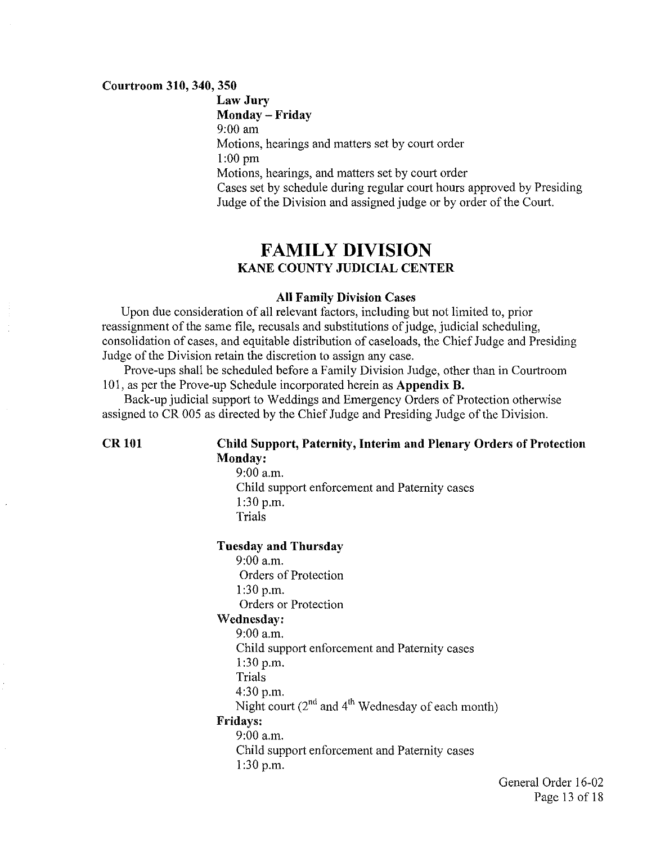#### **Courtroom 310, 340, 350**

**Law Jury Monday - Friday**  9:00 am Motions, hearings and matters set by court order 1:00 pm Motions, hearings, and matters set by court order Cases set by schedule during regular court hours approved by Presiding Judge of the Division and assigned judge or by order of the Court.

## **FAMILY DIVISION KANE COUNTY JUDICIAL CENTER**

#### **All Family Division Cases**

Upon due consideration of all relevant factors, including but not limited to, prior reassignment of the same file, recusals and substitutions of judge, judicial scheduling, consolidation of cases, and equitable distribution of caseloads, the Chief Judge and Presiding Judge of the Division retain the discretion to assign any case.

Prove-ups shall be scheduled before a Family Division Judge, other than in Courtroom 101, as per the Prove-up Schedule incorporated herein as **Appendix B.** 

Back-up judicial support to Weddings and Emergency Orders of Protection otherwise assigned to CR 005 as directed by the Chief Judge and Presiding Judge of the Division.

### **CR 101 Child Support, Paternity, Interim and Plenary Orders of Protection Monday:**

9:00 a.m. Child support enforcement and Paternity cases 1:30 p.m. Trials

#### **Tuesday and Thursday**

9:00a.m. Orders of Protection 1:30 p.m. Orders or Protection

#### **Wednesday:**

9:00a.m.

Child support enforcement and Paternity cases

1:30 p.m.

Trials

4:30 p.m.

Night court  $(2^{nd}$  and  $4^{th}$  Wednesday of each month)

### Fridays:

9:00a.m. Child support enforcement and Paternity cases 1:30 p.m.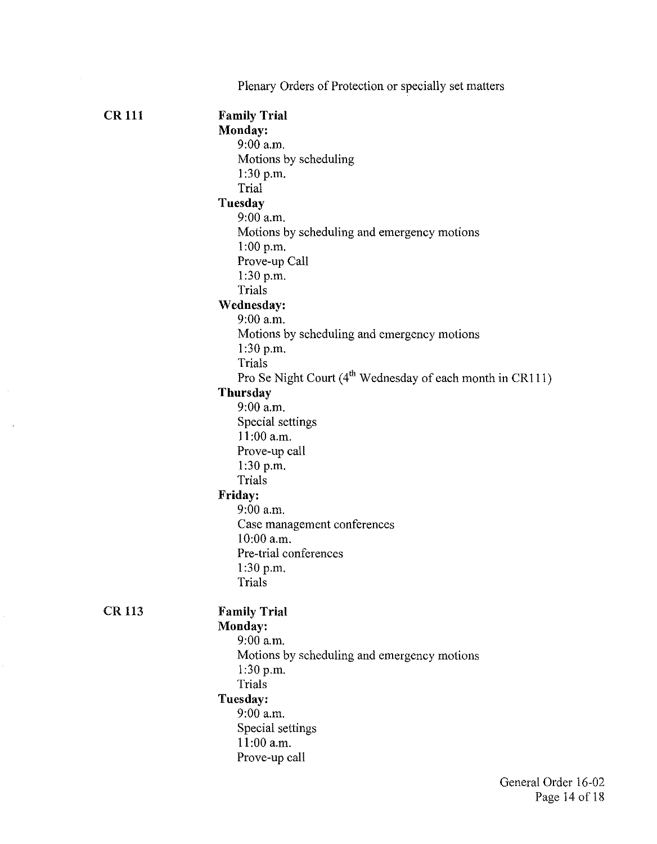|              | Plenary Orders of Protection or specially set matters                 |
|--------------|-----------------------------------------------------------------------|
| <b>CR111</b> | <b>Family Trial</b>                                                   |
|              |                                                                       |
|              | Monday:<br>9:00 a.m.                                                  |
|              |                                                                       |
|              | Motions by scheduling                                                 |
|              | $1:30$ p.m.<br>Trial                                                  |
|              |                                                                       |
|              | Tuesday                                                               |
|              | $9:00$ a.m.                                                           |
|              | Motions by scheduling and emergency motions                           |
|              | 1:00 p.m.                                                             |
|              | Prove-up Call                                                         |
|              | $1:30$ p.m.                                                           |
|              | Trials                                                                |
|              | Wednesday:                                                            |
|              | 9:00 a.m.                                                             |
|              | Motions by scheduling and emergency motions                           |
|              | $1:30$ p.m.                                                           |
|              | Trials                                                                |
|              | Pro Se Night Court (4 <sup>th</sup> Wednesday of each month in CR111) |
|              | <b>Thursday</b>                                                       |
|              | $9:00$ a.m.                                                           |
|              | Special settings                                                      |
|              | $11:00$ a.m.                                                          |
|              | Prove-up call                                                         |
|              | 1.30 p.m.                                                             |
|              | Trials                                                                |
|              | Friday:                                                               |
|              | $9:00$ a.m.                                                           |
|              | Case management conferences                                           |
|              | 10:00 a.m.                                                            |
|              | Pre-trial conferences                                                 |
|              | 1:30 p.m.                                                             |
|              | Trials                                                                |
| <b>CR113</b> | <b>Family Trial</b>                                                   |
|              | Monday:                                                               |
|              | 9:00 a.m.                                                             |
|              | Motions by scheduling and emergency motions                           |
|              | 1.30 p.m.                                                             |
|              | Trials                                                                |
|              | Tuesday:                                                              |
|              | 9:00 a.m.                                                             |
|              | Special settings                                                      |
|              | 11:00 a.m.                                                            |
|              | Prove-up call                                                         |
|              |                                                                       |

 $\sim 10^{-1}$ 

 $\hat{\mathcal{A}}$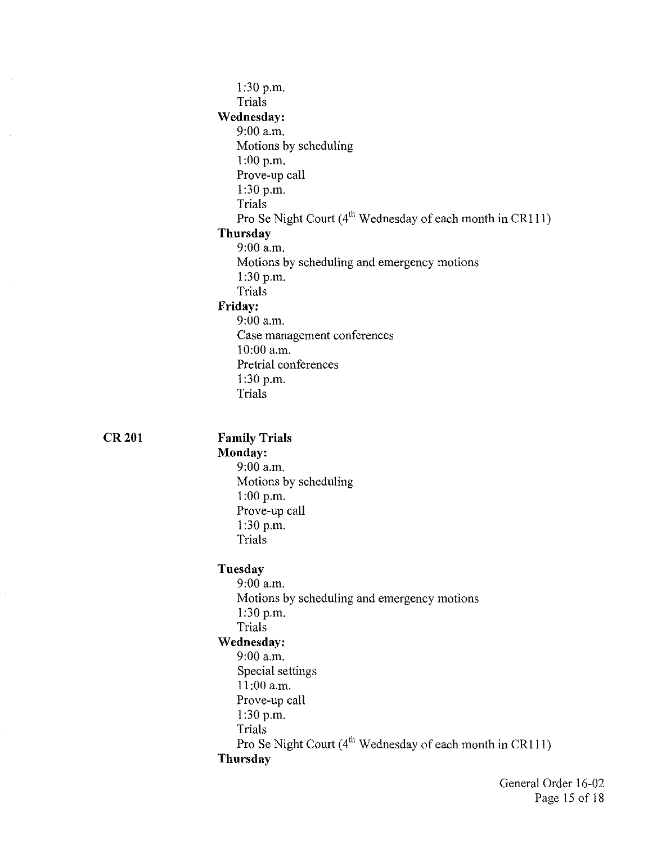| $1:30$ p.m.                                                           |
|-----------------------------------------------------------------------|
| Trials                                                                |
| Wednesday:                                                            |
| $9:00$ a.m.                                                           |
| Motions by scheduling                                                 |
| $1:00$ p.m.                                                           |
| Prove-up call                                                         |
| $1:30$ p.m.                                                           |
| <b>Trials</b>                                                         |
| Pro Se Night Court (4 <sup>th</sup> Wednesday of each month in CR111) |
| Thursday                                                              |
| 9.00 a.m.                                                             |
| Motions by scheduling and emergency motions                           |
| $1:30$ p.m.<br>Trials                                                 |
| <b>Friday:</b>                                                        |
| 9.00 a.m.                                                             |
| Case management conferences                                           |
| $10:00$ a.m.                                                          |
| Pretrial conferences                                                  |
| $1:30$ p.m.                                                           |
| Trials                                                                |
| <b>Family Trials</b>                                                  |
| Monday:                                                               |
| 9:00 a.m.                                                             |
| Motions by scheduling                                                 |
| $1:00$ p.m.<br>Prove-up call                                          |
| $1:30$ p.m.                                                           |
| Trials                                                                |
| Tuesday                                                               |
| 9.00 a.m.                                                             |
| Motions by scheduling and emergency motions                           |
| 1.30 p.m.                                                             |
| Trials                                                                |
| Wednesday:                                                            |
| $9:00$ a.m.                                                           |
| Special settings                                                      |
| $11:00$ a.m.                                                          |
| Prove-up call                                                         |
| 1:30 p.m.<br>Trials                                                   |
| Pro Se Night Court (4 <sup>th</sup> Wednesday of each month in CR111) |
| Thursday                                                              |
|                                                                       |

**CR201** 

 $\hat{\phi}$ 

General Order 16-02 Page 15of18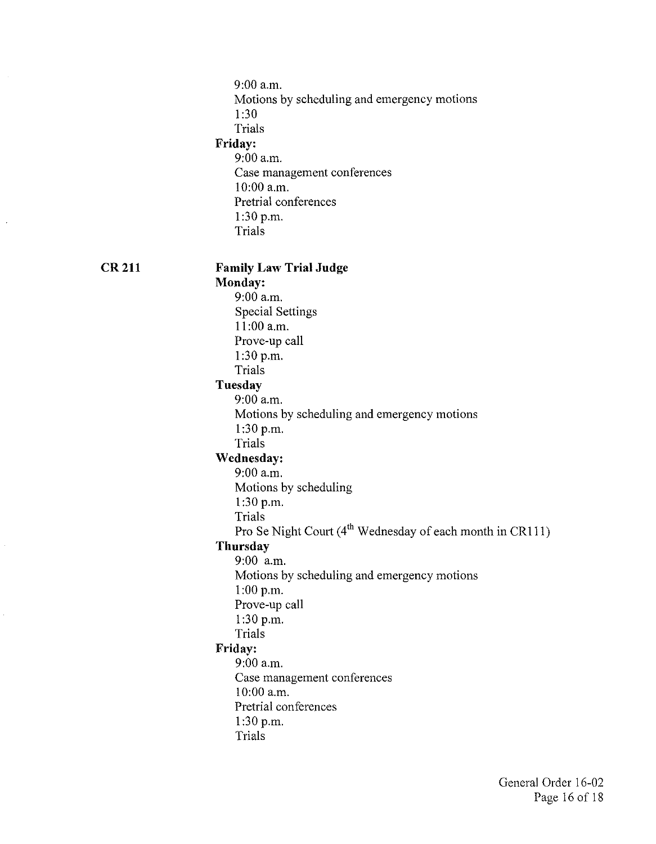9:00a.m. Motions by scheduling and emergency motions 1 :30 Trials **Friday:**  9:00 a.m. Case management conferences 10:00 a.m. Pretrial conferences 1:30 p.m. Trials **Family Law Trial Judge Monday:**  9:00 a.m. Special Settings 11:00 a.m. Prove-up call 1:30 p.m. Trials **Tuesday**  9:00 a.m. Motions by scheduling and emergency motions 1:30 p.m. Trials **Wednesday:**  9:00 a.m. Motions by scheduling 1:30 p.m. Trials Pro Se Night Court (4<sup>th</sup> Wednesday of each month in CR111) **Thursday**  9:00 a.m. Motions by scheduling and emergency motions 1:00 p.m. Prove-up call 1:30 p.m. Trials **Friday:**  9:00 a.m. Case management conferences 10:00 a.m. Pretrial conferences 1:30 p.m. Trials

**CR211**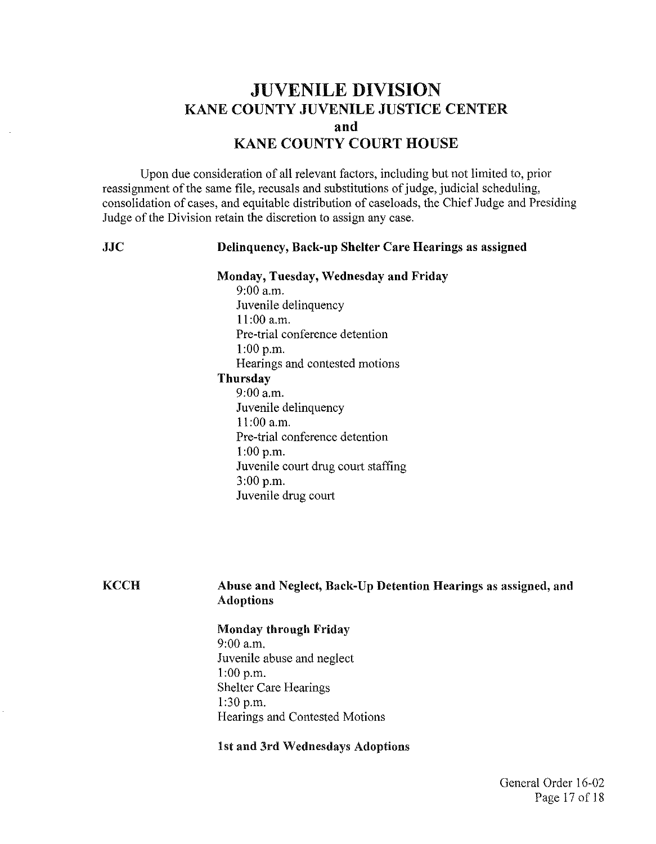# JUVENILE DIVISION KANE COUNTY JUVENILE JUSTICE CENTER **and**  KANE COUNTY COURT HOUSE

Upon due consideration of all relevant factors, including but not limited to, prior reassignment of the same file, recusals and substitutions of judge, judicial scheduling, consolidation of cases, and equitable distribution of caseloads, the Chief Judge and Presiding Judge of the Division retain the discretion to assign any case.

JJC

**KCCH** 

### Delinquency, Back-up Shelter Care Hearings as assigned

#### Monday, Tuesday, Wednesday and Friday

9:00 a.m. Juvenile delinquency 11:00 a.m. Pre-trial conference detention 1:00 p.m. Hearings and contested motions Thursday 9:00 a.m. Juvenile delinquency

11:00 a.m. Pre-trial conference detention 1:00 p.m. Juvenile court drug court staffing 3:00 p.m. Juvenile drug court

### Abuse and Neglect, Back-Up Detention Hearings as assigned, and Adoptions

#### Monday through Friday

9:00 a.m. Juvenile abuse and neglect 1:00 p.m. Shelter Care Hearings 1:30 p.m. Hearings and Contested Motions

#### 1st and 3rd Wednesdays Adoptions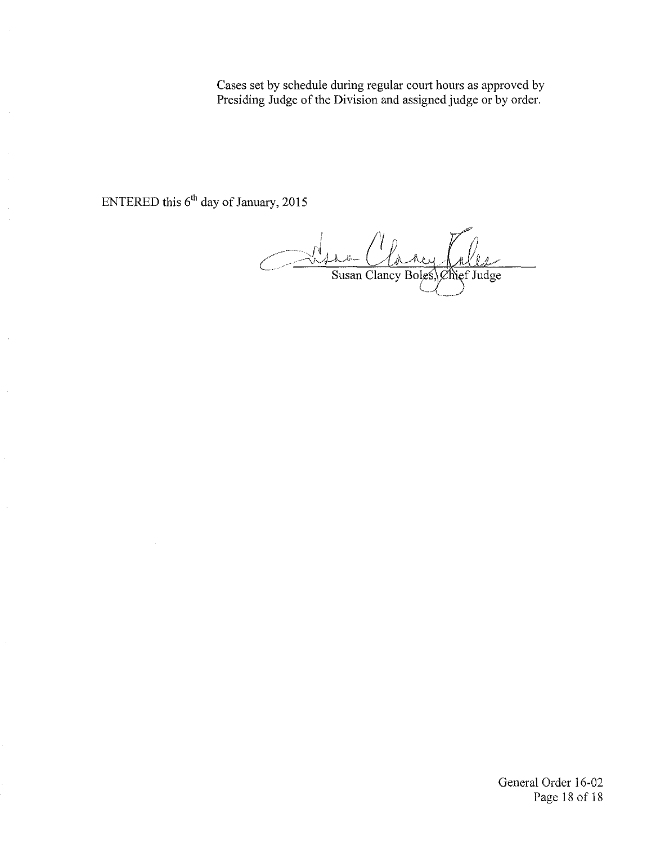Cases set by schedule during regular court hours as approved by Presiding Judge of the Division and assigned judge or by order.

ENTERED this 6<sup>th</sup> day of January, 2015

 $\frac{1}{\sqrt{2\pi}}$ Susan Clancy Boles, Chief Judge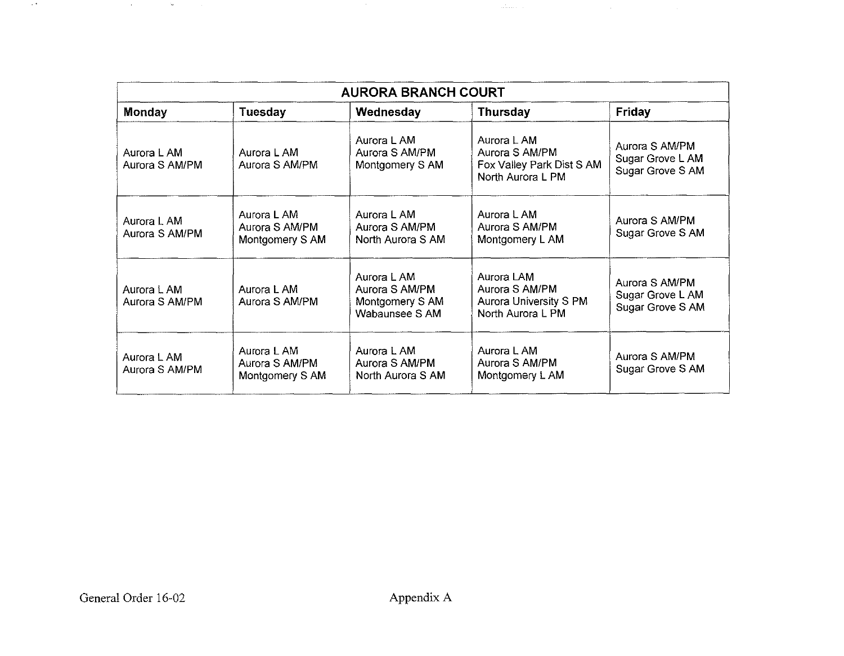| <b>AURORA BRANCH COURT</b>    |                                                  |                                                                    |                                                                                 |                                                        |  |
|-------------------------------|--------------------------------------------------|--------------------------------------------------------------------|---------------------------------------------------------------------------------|--------------------------------------------------------|--|
| Monday                        | Tuesday                                          | Wednesday                                                          | <b>Thursday</b>                                                                 | Friday                                                 |  |
| Aurora L AM<br>Aurora S AM/PM | Aurora L AM<br>Aurora S AM/PM                    | Aurora L AM<br>Aurora S AM/PM<br>Montgomery S AM                   | Aurora L AM<br>Aurora S AM/PM<br>Fox Valley Park Dist S AM<br>North Aurora L PM | Aurora S AM/PM<br>Sugar Grove L AM<br>Sugar Grove S AM |  |
| Aurora L AM<br>Aurora S AM/PM | Aurora L AM<br>Aurora S AM/PM<br>Montgomery S AM | Aurora L AM<br>Aurora S AM/PM<br>North Aurora S AM                 | Aurora L AM<br>Aurora S AM/PM<br>Montgomery L AM                                | Aurora S AM/PM<br>Sugar Grove S AM                     |  |
| Aurora L AM<br>Aurora S AM/PM | Aurora L AM<br>Aurora S AM/PM                    | Aurora L AM<br>Aurora S AM/PM<br>Montgomery S AM<br>Wabaunsee S AM | Aurora LAM<br>Aurora S AM/PM<br>Aurora University S PM<br>North Aurora L PM     | Aurora S AM/PM<br>Sugar Grove L AM<br>Sugar Grove S AM |  |
| Aurora L AM<br>Aurora S AM/PM | Aurora L AM<br>Aurora S AM/PM<br>Montgomery S AM | Aurora L AM<br>Aurora S AM/PM<br>North Aurora S AM                 | Aurora L AM<br>Aurora S AM/PM<br>Montgomery L AM                                | Aurora S AM/PM<br>Sugar Grove S AM                     |  |

 $\sim 3\%$ 

. . . .

 $\sim$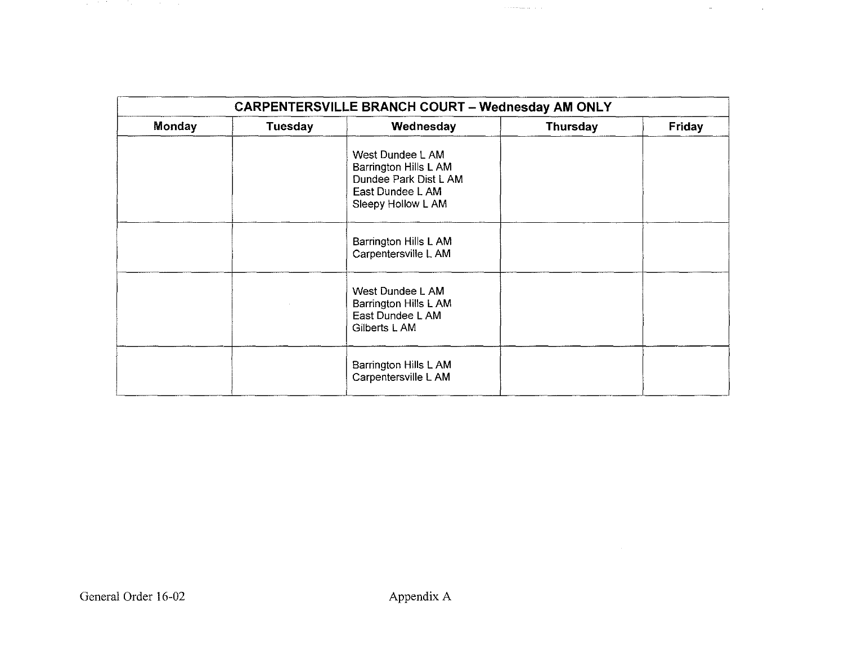|        | <b>CARPENTERSVILLE BRANCH COURT - Wednesday AM ONLY</b> |                                                                                                              |                 |               |  |
|--------|---------------------------------------------------------|--------------------------------------------------------------------------------------------------------------|-----------------|---------------|--|
| Monday | Tuesday                                                 | Wednesday                                                                                                    | <b>Thursday</b> | <b>Friday</b> |  |
|        |                                                         | West Dundee L AM<br>Barrington Hills L AM<br>Dundee Park Dist L AM<br>East Dundee L AM<br>Sleepy Hollow L AM |                 |               |  |
|        |                                                         | Barrington Hills L AM<br>Carpentersville L AM                                                                |                 |               |  |
|        |                                                         | West Dundee L AM<br>Barrington Hills L AM<br>East Dundee L AM<br>Gilberts L AM                               |                 |               |  |
|        |                                                         | Barrington Hills L AM<br>Carpentersville L AM                                                                |                 |               |  |

 $\gamma$  is a consequence of  $\gamma$  ,  $\gamma$ 

 $\mathcal{L}^{\text{max}}_{\text{max}}$  and  $\mathcal{L}^{\text{max}}_{\text{max}}$ 

 $\mathcal{O}(\mathbb{R}^4)$  . The second contribution of  $\mathcal{O}(\mathbb{R}^4)$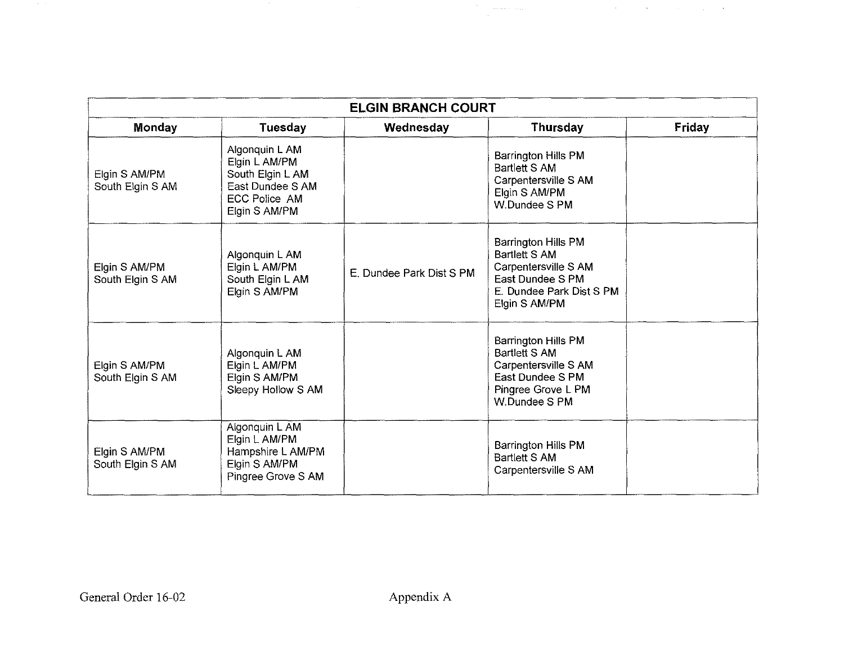| <b>ELGIN BRANCH COURT</b>         |                                                                                                                  |                          |                                                                                                                                       |        |  |  |
|-----------------------------------|------------------------------------------------------------------------------------------------------------------|--------------------------|---------------------------------------------------------------------------------------------------------------------------------------|--------|--|--|
| Monday                            | <b>Tuesday</b>                                                                                                   | Wednesday                | <b>Thursday</b>                                                                                                                       | Friday |  |  |
| Elgin S AM/PM<br>South Elgin S AM | Algonquin L AM<br>Elgin L AM/PM<br>South Elgin L AM<br>East Dundee S AM<br><b>ECC Police AM</b><br>Elgin S AM/PM |                          | Barrington Hills PM<br><b>Bartlett S AM</b><br>Carpentersville S AM<br>Elgin S AM/PM<br>W.Dundee S PM                                 |        |  |  |
| Elgin S AM/PM<br>South Elgin S AM | Algonquin L AM<br>Elgin L AM/PM<br>South Elgin L AM<br>Elgin S AM/PM                                             | E. Dundee Park Dist S PM | Barrington Hills PM<br><b>Bartlett S AM</b><br>Carpentersville S AM<br>East Dundee S PM<br>E. Dundee Park Dist S PM<br>Elgin S AM/PM  |        |  |  |
| Elgin S AM/PM<br>South Elgin S AM | Algonquin L AM<br>Elgin L AM/PM<br>Elgin S AM/PM<br>Sleepy Hollow S AM                                           |                          | <b>Barrington Hills PM</b><br><b>Bartlett S AM</b><br>Carpentersville S AM<br>East Dundee S PM<br>Pingree Grove L PM<br>W.Dundee S PM |        |  |  |
| Elgin S AM/PM<br>South Elgin S AM | Algonquin L AM<br>Elgin L AM/PM<br>Hampshire L AM/PM<br>Elgin S AM/PM<br>Pingree Grove S AM                      |                          | Barrington Hills PM<br>Bartlett S AM<br>Carpentersville S AM                                                                          |        |  |  |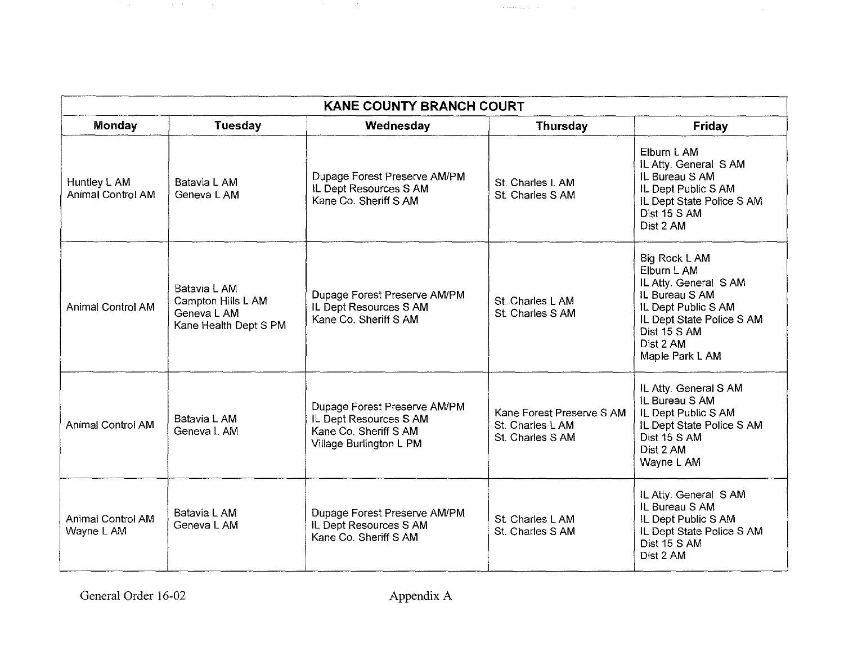| <b>KANE COUNTY BRANCH COURT</b>        |                                                                            |                                                                                                            |                                                                   |                                                                                                                                                                            |  |
|----------------------------------------|----------------------------------------------------------------------------|------------------------------------------------------------------------------------------------------------|-------------------------------------------------------------------|----------------------------------------------------------------------------------------------------------------------------------------------------------------------------|--|
| <b>Monday</b>                          | Tuesday                                                                    | Wednesday                                                                                                  | Thursday                                                          | Friday                                                                                                                                                                     |  |
| Huntley L AM<br>Animal Control AM      | Batavia L AM<br>Geneva L AM                                                | Dupage Forest Preserve AM/PM<br>IL Dept Resources S AM<br>Kane Co. Sheriff S AM                            | St. Charles L AM<br>St. Charles S AM                              | Elburn L AM<br>IL Atty. General SAM<br>IL Bureau S AM<br>IL Dept Public S AM<br>IL Dept State Police S AM<br>Dist 15 S AM<br>Dist 2 AM                                     |  |
| Animal Control AM                      | Batavia L AM<br>Campton Hills L AM<br>Geneva L AM<br>Kane Health Dept S PM | Dupage Forest Preserve AM/PM<br>IL Dept Resources S AM<br>Kane Co. Sheriff S AM                            | St. Charles L AM<br>St. Charles S AM                              | Big Rock L AM<br>Elburn L AM<br>IL Atty. General SAM<br>IL Bureau S AM<br>IL Dept Public S AM<br>IL Dept State Police S AM<br>Dist 15 S AM<br>Dist 2 AM<br>Maple Park L AM |  |
| Animal Control AM                      | Batavia L AM<br>Geneva L AM                                                | Dupage Forest Preserve AM/PM<br>IL Dept Resources S AM<br>Kane Co. Sheriff S AM<br>Village Burlington L PM | Kane Forest Preserve S AM<br>St. Charles L AM<br>St. Charles S AM | IL Atty. General S AM<br>IL Bureau S AM<br>IL Dept Public S AM<br>IL Dept State Police S AM<br>Dist 15 S AM<br>Dist 2 AM<br>Wayne L AM                                     |  |
| <b>Animal Control AM</b><br>Wayne L AM | Batavia L AM<br>Geneva L AM                                                | Dupage Forest Preserve AM/PM<br>IL Dept Resources S AM<br>Kane Co. Sheriff S AM                            | St. Charles L AM<br>St. Charles S AM                              | IL Atty. General SAM<br>IL Bureau S AM<br>IL Dept Public S AM<br>IL Dept State Police S AM<br>Dist 15 S AM<br>Dist 2 AM                                                    |  |

are consequently as  $\alpha\in\mathbb{R}^n$